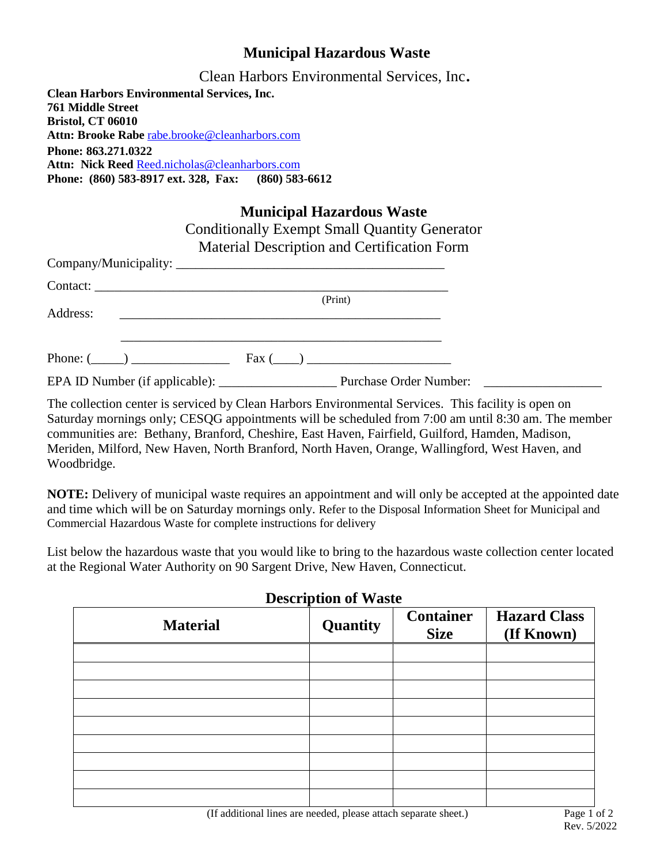## **Municipal Hazardous Waste**

Clean Harbors Environmental Services, Inc.

**Clean Harbors Environmental Services, Inc. 761 Middle Street Bristol, CT 06010 Attn: Brooke Rabe** [rabe.brooke@cleanharbors.com](mailto:rabe.brooke@cleanharbors.com) **Phone: 863.271.0322 Attn: Nick Reed** [Reed.nicholas@cleanharbors.com](mailto:Reed.nicholas@cleanharbors.com) **Phone: (860) 583-8917 ext. 328, Fax: (860) 583-6612**

|          | <b>Municipal Hazardous Waste</b>                                                                                       |  |
|----------|------------------------------------------------------------------------------------------------------------------------|--|
|          | <b>Conditionally Exempt Small Quantity Generator</b>                                                                   |  |
|          | Material Description and Certification Form                                                                            |  |
|          |                                                                                                                        |  |
|          |                                                                                                                        |  |
|          | (Print)                                                                                                                |  |
| Address: | <u> 1990 - Jan Salaman (</u> 1990), prima a shekara 1991 a shekara ta 1991 a 1992 a tsara 1992 a tsara 1992. A shekara |  |
|          |                                                                                                                        |  |
|          | $\text{Fax}$ ( )                                                                                                       |  |
|          |                                                                                                                        |  |

The collection center is serviced by Clean Harbors Environmental Services. This facility is open on Saturday mornings only; CESQG appointments will be scheduled from 7:00 am until 8:30 am. The member communities are: Bethany, Branford, Cheshire, East Haven, Fairfield, Guilford, Hamden, Madison, Meriden, Milford, New Haven, North Branford, North Haven, Orange, Wallingford, West Haven, and Woodbridge.

**NOTE:** Delivery of municipal waste requires an appointment and will only be accepted at the appointed date and time which will be on Saturday mornings only. Refer to the Disposal Information Sheet for Municipal and Commercial Hazardous Waste for complete instructions for delivery

List below the hazardous waste that you would like to bring to the hazardous waste collection center located at the Regional Water Authority on 90 Sargent Drive, New Haven, Connecticut.

| Description of <i>Waste</i> |          |                                 |                                   |  |  |
|-----------------------------|----------|---------------------------------|-----------------------------------|--|--|
| <b>Material</b>             | Quantity | <b>Container</b><br><b>Size</b> | <b>Hazard Class</b><br>(If Known) |  |  |
|                             |          |                                 |                                   |  |  |
|                             |          |                                 |                                   |  |  |
|                             |          |                                 |                                   |  |  |
|                             |          |                                 |                                   |  |  |
|                             |          |                                 |                                   |  |  |
|                             |          |                                 |                                   |  |  |
|                             |          |                                 |                                   |  |  |
|                             |          |                                 |                                   |  |  |
|                             |          |                                 |                                   |  |  |

**Description of Waste**